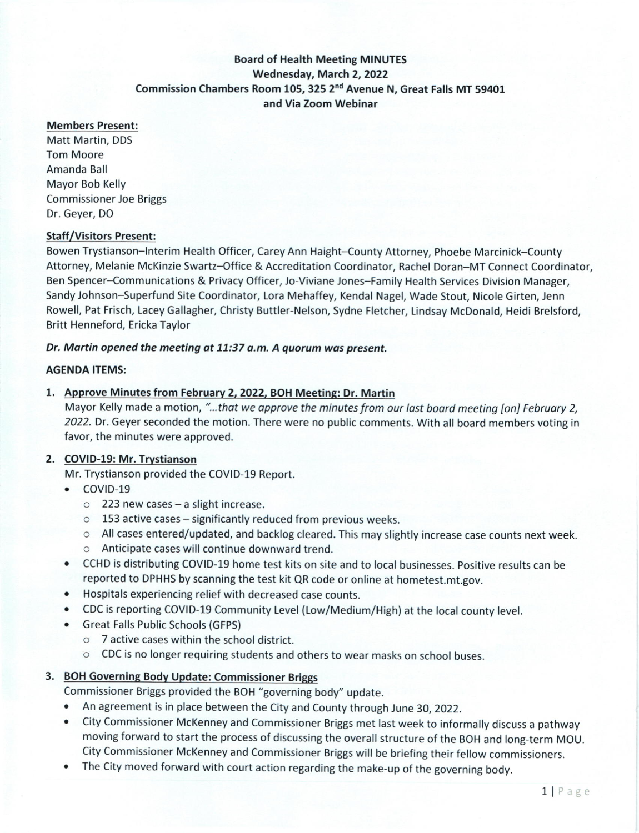# Board of Health Meeting MINUTES Wednesday, March 2, 2022 Commission Chambers Room 105,325 2nd Avenue N, Great Falls MT 59401 and Via Zoom Webinar

#### Members Present:

Matt Martin, DDS Tom Moore Amanda Ball Mayor Bob Kelly Commissioner Joe Briggs Dr. Geyer, DO

### Staff/Visitors Present:

Bowen Trystianson-Interim Health Officer, Carey Ann Haight-County Attorney, Phoebe Marcinick-County Attorney, Melanie McKinzie Swartz-Office & Accreditation Coordinator, Rachel Doran-MT Connect Coordinator, Ben Spencer-Communications & Privacy Officer, io-Viviane Jones-Family Health Services Division Manager, Sandy Johnson-Superfund Site Coordinator, Lora Mehaffey, Kendal Nagel, Wade Stout, Nicole Girten, ienn Rowell, Pat Frisch, Lacey Gallagher, Christy Buttler-Nelson, Sydne Fletcher, Lindsay McDonald, Heidi Brelsford, Britt Henneford, Ericka Taylor

### Dr. Martin opened the meeting at 11:37 a.m. A quorum was present.

#### AGENDA ITEMS:

### 1. Approve Minutes from Februarv 2, 2022, BOH Meeting: Dr, Martin

Mayor Kelly made a motion, "...that we approve the minutes from our last board meeting [on] February 2, 2022. Dr. Geyer seconded the motion. There were no public comments. With all board members voting in favor, the minutes were approved.

### 2. COVID-19: Mr. Trvstianson

Mr. Trystianson provided the COVID-19 Report.

- COVID-19
	- $\circ$  223 new cases a slight increase.
	- $\circ$  153 active cases significantly reduced from previous weeks.
	- o All cases entered/updated, and backlog cleared. This may slightly increase case counts next week.
	- o Anticipate cases will continue downward trend.
- o CCHD is distributing COVID-19 home test kits on site and to local businesses. Positive results can be reported to DPHHS by scanning the test kit QR code or online at hometest.mt.gov.
- . Hospitals experiencing relief with decreased case counts.
- CDC is reporting COVID-19 Community Level (Low/Medium/High) at the local county level.
- . Great Falls Public Schools (GFpS)
	- o 7 active cases within the school district.
	- o CDC is no longer requiring students and others to wear masks on school buses.

### 3. BOH Governing Body Update: Commissioner Briggs

Commissioner Briggs provided the BOH "governing body'' update.

- An agreement is in place between the City and County through June 30, 2022.
- . City Commissioner McKenney and Commissioner Briggs met last week to informally discuss a pathway moving forward to start the process of discussing the overall structure of the BOH and long-term MOU. City Commissioner McKenney and Commissioner Briggs will be briefing their fellow commissioners.
- The City moved forward with court action regarding the make-up of the governing body.